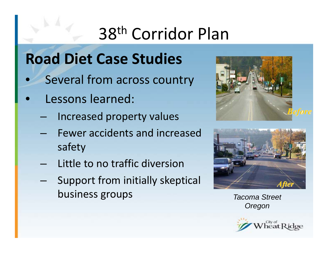# 38th Corridor Plan

#### **Road Diet Case Studies**

- $\bullet$ • Several from across country
- $\bullet$  Lessons learned:
	- Increased property values
	- Fewer accidents and increased safety
	- Little to no traffic diversion
	- Support from initially skeptical business groups





**Tacoma Street** *Oregon*

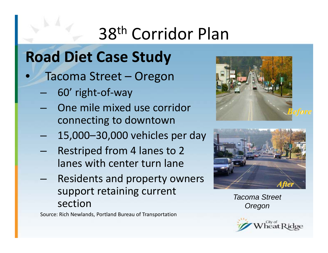# 38th Corridor Plan

#### **Road Diet Case Study**

- $\bullet$  Tacoma Street – Oregon
	- 60' right‐of‐way
	- One mile mixed use corridor connecting to downtown
	- 15,000–30,000 vehicles per day
	- Restriped from 4 lanes to 2 lanes with center turn lane
	- Residents and property owners support retaining current section

Source: Rich Newlands, Portland Bureau of Transportation





*Tacoma Street Oregon*

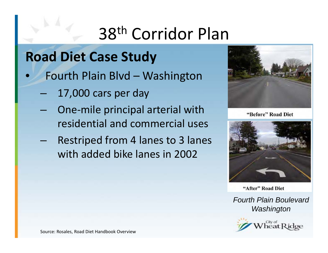# 38th Corridor Plan

#### **Road Diet Case Study**

- $\bullet$  Fourth Plain Blvd – Washington
	- –17,000 cars per day
	- – One‐mile principal arterial with residential and commercial uses
	- – Restriped from 4 lanes to 3 lanes with added bike lanes in 2002



"Before" Road Diet



"After" Road Diet

*Fourth Plain Boulevard Washington*



Source: Rosales, Road Diet Handbook Overview